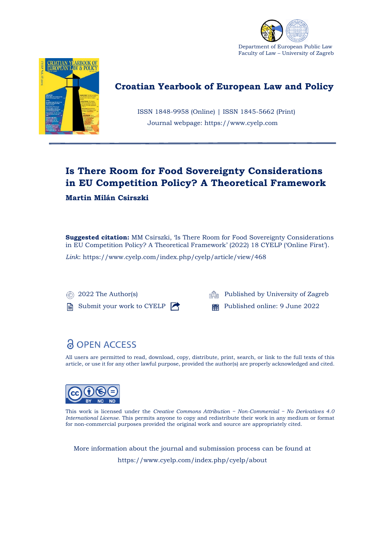



## **Croatian Yearbook of European Law and Policy**

 ISSN 1848-9958 (Online) | ISSN 1845-5662 (Print) Journal webpage: https://www.cyelp.com

## **Is There Room for Food Sovereignty Considerations in EU Competition Policy? A Theoretical Framework**

### **Martin Milán Csirszki**

**Suggested citation:** MM Csirszki, 'Is There Room for Food Sovereignty Considerations in EU Competition Policy? A Theoretical Framework' (2022) 18 CYELP ('Online First').

*Link*: https://www.cyelp.com/index.php/cyelp/article/view/468

Submit your work to CYELP **Published online: 9 June 2022** 

**2022 The Author(s) Published by University of Zagreb** 

# **& OPEN ACCESS**

All users are permitted to read, download, copy, distribute, print, search, or link to the full texts of this article, or use it for any other lawful purpose, provided the author(s) are properly acknowledged and cited.



This work is licensed under the *Creative Commons Attribution − Non-Commercial − No Derivatives 4.0 International License*. This permits anyone to copy and redistribute their work in any medium or format for non-commercial purposes provided the original work and source are appropriately cited.

More information about the journal and submission process can be found at https://www.cyelp.com/index.php/cyelp/about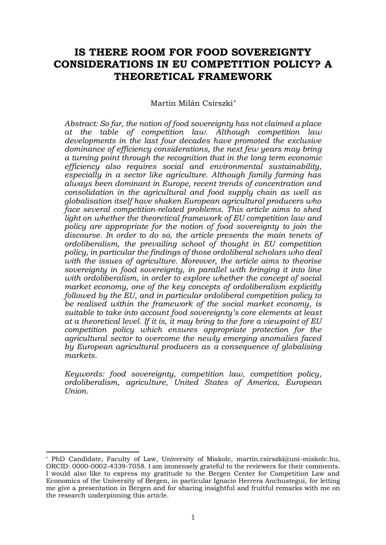### **IS THERE ROOM FOR FOOD SOVEREIGNTY CONSIDERATIONS IN EU COMPETITION POLICY? A THEORETICAL FRAMEWORK**

#### Martin Milán Csirszki*\**

*Abstract: So far, the notion of food sovereignty has not claimed a place at the table of competition law. Although competition law developments in the last four decades have promoted the exclusive dominance of efficiency considerations, the next few years may bring a turning point through the recognition that in the long term economic efficiency also requires social and environmental sustainability, especially in a sector like agriculture. Although family farming has always been dominant in Europe, recent trends of concentration and consolidation in the agricultural and food supply chain as well as globalisation itself have shaken European agricultural producers who face several competition-related problems. This article aims to shed light on whether the theoretical framework of EU competition law and policy are appropriate for the notion of food sovereignty to join the discourse. In order to do so, the article presents the main tenets of ordoliberalism, the prevailing school of thought in EU competition policy, in particular the findings of those ordoliberal scholars who deal with the issues of agriculture. Moreover, the article aims to theorise sovereignty in food sovereignty, in parallel with bringing it into line with ordoliberalism, in order to explore whether the concept of social market economy, one of the key concepts of ordoliberalism explicitly followed by the EU, and in particular ordoliberal competition policy to be realised within the framework of the social market economy, is suitable to take into account food sovereignty's core elements at least at a theoretical level. If it is, it may bring to the fore a viewpoint of EU competition policy which ensures appropriate protection for the agricultural sector to overcome the newly emerging anomalies faced by European agricultural producers as a consequence of globalising markets.*

*Keywords: food sovereignty, competition law, competition policy, ordoliberalism, agriculture, United States of America, European Union.*

<sup>\*</sup> PhD Candidate, Faculty of Law, University of Miskolc, martin.csirszki@uni-miskolc.hu, ORCID: 0000-0002-4339-7058. I am immensely grateful to the reviewers for their comments. I would also like to express my gratitude to the Bergen Center for Competition Law and Economics of the University of Bergen, in particular Ignacio Herrera Anchustegui, for letting me give a presentation in Bergen and for sharing insightful and fruitful remarks with me on the research underpinning this article.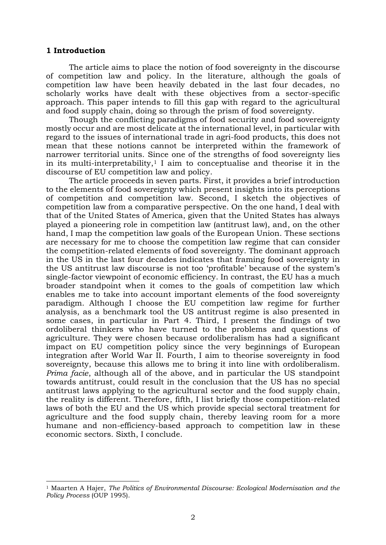#### **1 Introduction**

The article aims to place the notion of food sovereignty in the discourse of competition law and policy. In the literature, although the goals of competition law have been heavily debated in the last four decades, no scholarly works have dealt with these objectives from a sector-specific approach. This paper intends to fill this gap with regard to the agricultural and food supply chain, doing so through the prism of food sovereignty.

Though the conflicting paradigms of food security and food sovereignty mostly occur and are most delicate at the international level, in particular with regard to the issues of international trade in agri-food products, this does not mean that these notions cannot be interpreted within the framework of narrower territorial units. Since one of the strengths of food sovereignty lies in its multi-interpretability, $1$  I aim to conceptualise and theorise it in the discourse of EU competition law and policy.

The article proceeds in seven parts. First, it provides a brief introduction to the elements of food sovereignty which present insights into its perceptions of competition and competition law. Second, I sketch the objectives of competition law from a comparative perspective. On the one hand, I deal with that of the United States of America, given that the United States has always played a pioneering role in competition law (antitrust law), and, on the other hand, I map the competition law goals of the European Union. These sections are necessary for me to choose the competition law regime that can consider the competition-related elements of food sovereignty. The dominant approach in the US in the last four decades indicates that framing food sovereignty in the US antitrust law discourse is not too 'profitable' because of the system's single-factor viewpoint of economic efficiency. In contrast, the EU has a much broader standpoint when it comes to the goals of competition law which enables me to take into account important elements of the food sovereignty paradigm. Although I choose the EU competition law regime for further analysis, as a benchmark tool the US antitrust regime is also presented in some cases, in particular in Part 4. Third, I present the findings of two ordoliberal thinkers who have turned to the problems and questions of agriculture. They were chosen because ordoliberalism has had a significant impact on EU competition policy since the very beginnings of European integration after World War II. Fourth, I aim to theorise sovereignty in food sovereignty, because this allows me to bring it into line with ordoliberalism. *Prima facie*, although all of the above, and in particular the US standpoint towards antitrust, could result in the conclusion that the US has no special antitrust laws applying to the agricultural sector and the food supply chain, the reality is different. Therefore, fifth, I list briefly those competition-related laws of both the EU and the US which provide special sectoral treatment for agriculture and the food supply chain, thereby leaving room for a more humane and non-efficiency-based approach to competition law in these economic sectors. Sixth, I conclude.

<sup>1</sup> Maarten A Hajer, *The Politics of Environmental Discourse: Ecological Modernisation and the Policy Process* (OUP 1995).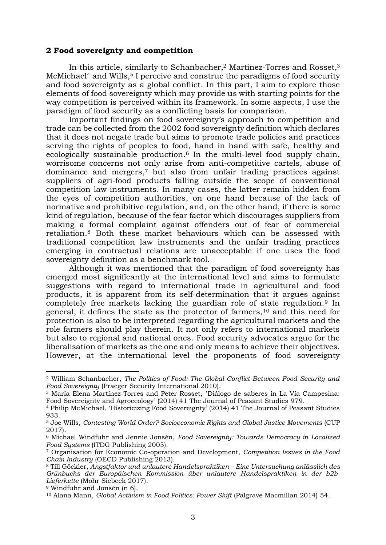#### **2 Food sovereignty and competition**

In this article, similarly to Schanbacher,<sup>2</sup> Martínez-Torres and Rosset,<sup>3</sup> McMichael<sup>4</sup> and Wills,<sup>5</sup> I perceive and construe the paradigms of food security and food sovereignty as a global conflict. In this part, I aim to explore those elements of food sovereignty which may provide us with starting points for the way competition is perceived within its framework. In some aspects, I use the paradigm of food security as a conflicting basis for comparison.

Important findings on food sovereignty's approach to competition and trade can be collected from the 2002 food sovereignty definition which declares that it does not negate trade but aims to promote trade policies and practices serving the rights of peoples to food, hand in hand with safe, healthy and ecologically sustainable production.<sup>6</sup> In the multi-level food supply chain, worrisome concerns not only arise from anti-competitive cartels, abuse of dominance and mergers, <sup>7</sup> but also from unfair trading practices against suppliers of agri-food products falling outside the scope of conventional competition law instruments. In many cases, the latter remain hidden from the eyes of competition authorities, on one hand because of the lack of normative and prohibitive regulation, and, on the other hand, if there is some kind of regulation, because of the fear factor which discourages suppliers from making a formal complaint against offenders out of fear of commercial retaliation. <sup>8</sup> Both these market behaviours which can be assessed with traditional competition law instruments and the unfair trading practices emerging in contractual relations are unacceptable if one uses the food sovereignty definition as a benchmark tool.

Although it was mentioned that the paradigm of food sovereignty has emerged most significantly at the international level and aims to formulate suggestions with regard to international trade in agricultural and food products, it is apparent from its self-determination that it argues against completely free markets lacking the guardian role of state regulation.<sup>9</sup> In general, it defines the state as the protector of farmers,<sup>10</sup> and this need for protection is also to be interpreted regarding the agricultural markets and the role farmers should play therein. It not only refers to international markets but also to regional and national ones. Food security advocates argue for the liberalisation of markets as the one and only means to achieve their objectives. However, at the international level the proponents of food sovereignty

<sup>2</sup> William Schanbacher, *The Politics of Food: The Global Conflict Between Food Security and Food Sovereignty* (Praeger Security International 2010).

<sup>&</sup>lt;sup>3</sup> María Elena Martínez-Torres and Peter Rosset, `Diálogo de saberes in La Vía Campesina: Food Sovereignty and Agroecology' (2014) 41 The Journal of Peasant Studies 979.

<sup>4</sup> Philip McMichael, 'Historicizing Food Sovereignty' (2014) 41 The Journal of Peasant Studies 933.

<sup>5</sup> Joe Wills, *Contesting World Order? Socioeconomic Rights and Global Justice Movements* (CUP 2017).

<sup>6</sup> Michael Windfuhr and Jennie Jonsén, *Food Sovereignty: Towards Democracy in Localized Food Systems* (ITDG Publishing 2005).

<sup>7</sup> Organisation for Economic Co-operation and Development, *Competition Issues in the Food Chain Industry* (OECD Publishing 2013).

<sup>8</sup> Till Göckler, *Angstfaktor und unlautere Handelspraktiken – Eine Untersuchung anlässlich des Grünbuchs der Europäischen Kommission über unlautere Handelspraktiken in der b2b-Lieferkette* (Mohr Siebeck 2017).

<sup>9</sup> Windfuhr and Jonsén (n 6).

<sup>10</sup> Alana Mann, *Global Activism in Food Politics: Power Shift* (Palgrave Macmillan 2014) 54.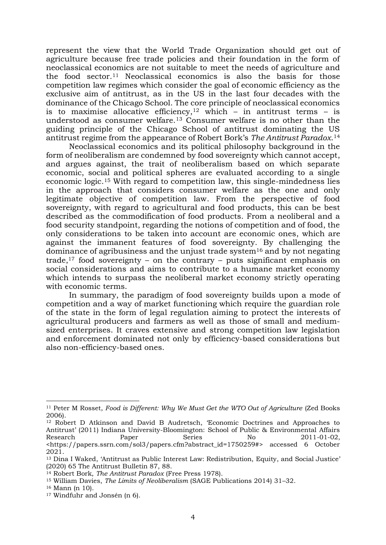represent the view that the World Trade Organization should get out of agriculture because free trade policies and their foundation in the form of neoclassical economics are not suitable to meet the needs of agriculture and the food sector.<sup>11</sup> Neoclassical economics is also the basis for those competition law regimes which consider the goal of economic efficiency as the exclusive aim of antitrust, as in the US in the last four decades with the dominance of the Chicago School. The core principle of neoclassical economics is to maximise allocative efficiency,<sup>12</sup> which – in antitrust terms – is understood as consumer welfare.<sup>13</sup> Consumer welfare is no other than the guiding principle of the Chicago School of antitrust dominating the US antitrust regime from the appearance of Robert Bork's *The Antitrust Paradox*. 14

Neoclassical economics and its political philosophy background in the form of neoliberalism are condemned by food sovereignty which cannot accept, and argues against, the trait of neoliberalism based on which separate economic, social and political spheres are evaluated according to a single economic logic.<sup>15</sup> With regard to competition law, this single-mindedness lies in the approach that considers consumer welfare as the one and only legitimate objective of competition law. From the perspective of food sovereignty, with regard to agricultural and food products, this can be best described as the commodification of food products. From a neoliberal and a food security standpoint, regarding the notions of competition and of food, the only considerations to be taken into account are economic ones, which are against the immanent features of food sovereignty. By challenging the dominance of agribusiness and the unjust trade system<sup>16</sup> and by not negating trade,<sup>17</sup> food sovereignty – on the contrary – puts significant emphasis on social considerations and aims to contribute to a humane market economy which intends to surpass the neoliberal market economy strictly operating with economic terms.

In summary, the paradigm of food sovereignty builds upon a mode of competition and a way of market functioning which require the guardian role of the state in the form of legal regulation aiming to protect the interests of agricultural producers and farmers as well as those of small and mediumsized enterprises. It craves extensive and strong competition law legislation and enforcement dominated not only by efficiency-based considerations but also non-efficiency-based ones.

<sup>11</sup> Peter M Rosset, *Food is Different: Why We Must Get the WTO Out of Agriculture* (Zed Books 2006).

<sup>&</sup>lt;sup>12</sup> Robert D Atkinson and David B Audretsch, 'Economic Doctrines and Approaches to Antitrust' (2011) Indiana University-Bloomington: School of Public & Environmental Affairs Research Paper Series No 2011-01-02, <https://papers.ssrn.com/sol3/papers.cfm?abstract\_id=1750259#> accessed 6 October 2021.

<sup>13</sup> Dina I Waked, 'Antitrust as Public Interest Law: Redistribution, Equity, and Social Justice' (2020) 65 The Antitrust Bulletin 87, 88.

<sup>14</sup> Robert Bork, *The Antitrust Paradox* (Free Press 1978).

<sup>15</sup> William Davies, *The Limits of Neoliberalism* (SAGE Publications 2014) 31–32.

<sup>16</sup> Mann (n 10).

<sup>17</sup> Windfuhr and Jonsén (n 6).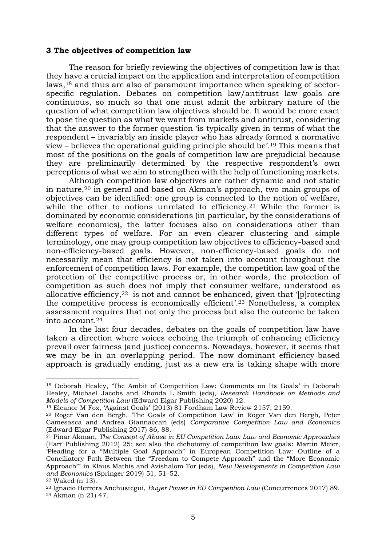#### **3 The objectives of competition law**

The reason for briefly reviewing the objectives of competition law is that they have a crucial impact on the application and interpretation of competition laws,<sup>18</sup> and thus are also of paramount importance when speaking of sectorspecific regulation. Debates on competition law/antitrust law goals are continuous, so much so that one must admit the arbitrary nature of the question of what competition law objectives should be. It would be more exact to pose the question as what we want from markets and antitrust, considering that the answer to the former question 'is typically given in terms of what the respondent – invariably an inside player who has already formed a normative view – believes the operational guiding principle should be'. <sup>19</sup> This means that most of the positions on the goals of competition law are prejudicial because they are preliminarily determined by the respective respondent's own perceptions of what we aim to strengthen with the help of functioning markets.

Although competition law objectives are rather dynamic and not static in nature,<sup>20</sup> in general and based on Akman's approach, two main groups of objectives can be identified: one group is connected to the notion of welfare, while the other to notions unrelated to efficiency.<sup>21</sup> While the former is dominated by economic considerations (in particular, by the considerations of welfare economics), the latter focuses also on considerations other than different types of welfare. For an even clearer clustering and simple terminology, one may group competition law objectives to efficiency-based and non-efficiency-based goals. However, non-efficiency-based goals do not necessarily mean that efficiency is not taken into account throughout the enforcement of competition laws. For example, the competition law goal of the protection of the competitive process or, in other words, the protection of competition as such does not imply that consumer welfare, understood as allocative efficiency,  $22$  is not and cannot be enhanced, given that '[p] rotecting the competitive process is economically efficient'. <sup>23</sup> Nonetheless, a complex assessment requires that not only the process but also the outcome be taken into account.<sup>24</sup>

In the last four decades, debates on the goals of competition law have taken a direction where voices echoing the triumph of enhancing efficiency prevail over fairness (and justice) concerns. Nowadays, however, it seems that we may be in an overlapping period. The now dominant efficiency-based approach is gradually ending, just as a new era is taking shape with more

<sup>18</sup> Deborah Healey, 'The Ambit of Competition Law: Comments on Its Goals' in Deborah Healey, Michael Jacobs and Rhonda L Smith (eds), *Research Handbook on Methods and Models of Competition Law* (Edward Elgar Publishing 2020) 12.

<sup>19</sup> Eleanor M Fox, 'Against Goals' (2013) 81 Fordham Law Review 2157, 2159.

<sup>20</sup> Roger Van den Bergh, 'The Goals of Competition Law' in Roger Van den Bergh, Peter Camesasca and Andrea Giannaccari (eds) *Comparative Competition Law and Economics*  (Edward Elgar Publishing 2017) 86, 88.

<sup>21</sup> Pinar Akman, *The Concept of Abuse in EU Competition Law: Law and Economic Approaches*  (Hart Publishing 2012) 25; see also the dichotomy of competition law goals: Martin Meier, 'Pleading for a "Multiple Goal Approach" in European Competition Law: Outline of a Conciliatory Path Between the "Freedom to Compete Approach" and the "More Economic Approach"' in Klaus Mathis and Avishalom Tor (eds), *New Developments in Competition Law and Economics* (Springer 2019) 51, 51–52.

<sup>22</sup> Waked (n 13).

<sup>23</sup> Ignacio Herrera Anchustegui, *Buyer Power in EU Competition Law* (Concurrences 2017) 89. <sup>24</sup> Akman (n 21) 47.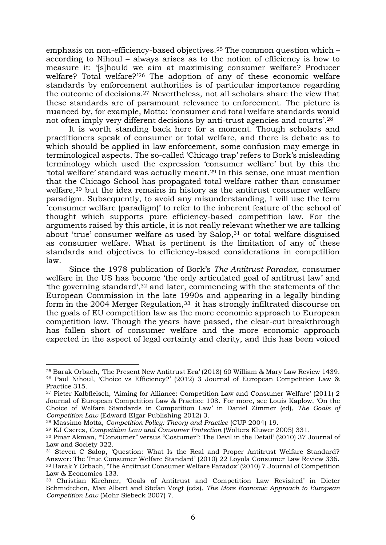emphasis on non-efficiency-based objectives.<sup>25</sup> The common question which – according to Nihoul – always arises as to the notion of efficiency is how to measure it: '[s]hould we aim at maximising consumer welfare? Producer welfare? Total welfare?<sup>'26</sup> The adoption of any of these economic welfare standards by enforcement authorities is of particular importance regarding the outcome of decisions.<sup>27</sup> Nevertheless, not all scholars share the view that these standards are of paramount relevance to enforcement. The picture is nuanced by, for example, Motta: 'consumer and total welfare standards would not often imply very different decisions by anti-trust agencies and courts'. 28

It is worth standing back here for a moment. Though scholars and practitioners speak of consumer or total welfare, and there is debate as to which should be applied in law enforcement, some confusion may emerge in terminological aspects. The so-called 'Chicago trap' refers to Bork's misleading terminology which used the expression 'consumer welfare' but by this the 'total welfare' standard was actually meant. <sup>29</sup> In this sense, one must mention that the Chicago School has propagated total welfare rather than consumer welfare, <sup>30</sup> but the idea remains in history as the antitrust consumer welfare paradigm. Subsequently, to avoid any misunderstanding, I will use the term 'consumer welfare (paradigm)' to refer to the inherent feature of the school of thought which supports pure efficiency-based competition law. For the arguments raised by this article, it is not really relevant whether we are talking about 'true' consumer welfare as used by  $Salop<sub>1</sub><sup>31</sup>$  or total welfare disguised as consumer welfare. What is pertinent is the limitation of any of these standards and objectives to efficiency-based considerations in competition law.

Since the 1978 publication of Bork's *The Antitrust Paradox*, consumer welfare in the US has become 'the only articulated goal of antitrust law' and 'the governing standard', <sup>32</sup> and later, commencing with the statements of the European Commission in the late 1990s and appearing in a legally binding form in the 2004 Merger Regulation,<sup>33</sup> it has strongly infiltrated discourse on the goals of EU competition law as the more economic approach to European competition law. Though the years have passed, the clear-cut breakthrough has fallen short of consumer welfare and the more economic approach expected in the aspect of legal certainty and clarity, and this has been voiced

<sup>25</sup> Barak Orbach, 'The Present New Antitrust Era' (2018) 60 William & Mary Law Review 1439. <sup>26</sup> Paul Nihoul, 'Choice vs Efficiency?' (2012) 3 Journal of European Competition Law & Practice 315.

<sup>27</sup> Pieter Kalbfleisch, 'Aiming for Alliance: Competition Law and Consumer Welfare' (2011) 2 Journal of European Competition Law & Practice 108. For more, see Louis Kaplow, 'On the Choice of Welfare Standards in Competition Law' in Daniel Zimmer (ed), *The Goals of Competition Law* (Edward Elgar Publishing 2012) 3.

<sup>28</sup> Massimo Motta, *Competition Policy: Theory and Practice* (CUP 2004) 19.

<sup>29</sup> KJ Cseres, *Competition Law and Consumer Protection* (Wolters Kluwer 2005) 331.

<sup>30</sup> Pinar Akman, '"Consumer" versus "Costumer": The Devil in the Detail' (2010) 37 Journal of Law and Society 322.

<sup>31</sup> Steven C Salop, 'Question: What Is the Real and Proper Antitrust Welfare Standard? Answer: The True Consumer Welfare Standard' (2010) 22 Loyola Consumer Law Review 336. <sup>32</sup> Barak Y Orbach, 'The Antitrust Consumer Welfare Paradox' (2010) 7 Journal of Competition Law & Economics 133.

<sup>33</sup> Christian Kirchner, 'Goals of Antitrust and Competition Law Revisited' in Dieter Schmidtchen, Max Albert and Stefan Voigt (eds), *The More Economic Approach to European Competition Law* (Mohr Siebeck 2007) 7.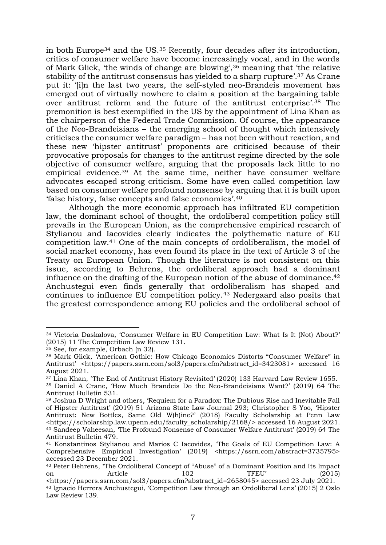in both Europe<sup>34</sup> and the US.<sup>35</sup> Recently, four decades after its introduction, critics of consumer welfare have become increasingly vocal, and in the words of Mark Glick, 'the winds of change are blowing', <sup>36</sup> meaning that 'the relative stability of the antitrust consensus has yielded to a sharp rupture'. <sup>37</sup> As Crane put it: '[i]n the last two years, the self-styled neo-Brandeis movement has emerged out of virtually nowhere to claim a position at the bargaining table over antitrust reform and the future of the antitrust enterprise'. <sup>38</sup> The premonition is best exemplified in the US by the appointment of Lina Khan as the chairperson of the Federal Trade Commission. Of course, the appearance of the Neo-Brandeisians – the emerging school of thought which intensively criticises the consumer welfare paradigm – has not been without reaction, and these new 'hipster antitrust' proponents are criticised because of their provocative proposals for changes to the antitrust regime directed by the sole objective of consumer welfare, arguing that the proposals lack little to no empirical evidence.<sup>39</sup> At the same time, neither have consumer welfare advocates escaped strong criticism. Some have even called competition law based on consumer welfare profound nonsense by arguing that it is built upon 'false history, false concepts and false economics'. 40

Although the more economic approach has infiltrated EU competition law, the dominant school of thought, the ordoliberal competition policy still prevails in the European Union, as the comprehensive empirical research of Stylianou and Iacovides clearly indicates the polythematic nature of EU competition law. <sup>41</sup> One of the main concepts of ordoliberalism, the model of social market economy, has even found its place in the text of Article 3 of the Treaty on European Union. Though the literature is not consistent on this issue, according to Behrens, the ordoliberal approach had a dominant influence on the drafting of the European notion of the abuse of dominance. 42 Anchustegui even finds generally that ordoliberalism has shaped and continues to influence EU competition policy.<sup>43</sup> Nedergaard also posits that the greatest correspondence among EU policies and the ordoliberal school of

<sup>34</sup> Victoria Daskalova, 'Consumer Welfare in EU Competition Law: What Is It (Not) About?' (2015) 11 The Competition Law Review 131.

<sup>&</sup>lt;sup>35</sup> See, for example, Orbach (n 32).

<sup>36</sup> Mark Glick, 'American Gothic: How Chicago Economics Distorts "Consumer Welfare" in Antitrust' <https://papers.ssrn.com/sol3/papers.cfm?abstract\_id=3423081> accessed 16 August 2021.

<sup>&</sup>lt;sup>37</sup> Lina Khan, 'The End of Antitrust History Revisited' (2020) 133 Harvard Law Review 1655.

<sup>38</sup> Daniel A Crane, 'How Much Brandeis Do the Neo-Brandeisians Want?' (2019) 64 The Antitrust Bulletin 531.

<sup>39</sup> Joshua D Wright and others, 'Requiem for a Paradox: The Dubious Rise and Inevitable Fall of Hipster Antitrust' (2019) 51 Arizona State Law Journal 293; Christopher S Yoo, 'Hipster Antitrust: New Bottles, Same Old W(h)ine?' (2018) Faculty Scholarship at Penn Law <https://scholarship.law.upenn.edu/faculty\_scholarship/2168/> accessed 16 August 2021. <sup>40</sup> Sandeep Vaheesan, 'The Profound Nonsense of Consumer Welfare Antitrust' (2019) 64 The Antitrust Bulletin 479.

<sup>41</sup> Konstantinos Stylianou and Marios C Iacovides, 'The Goals of EU Competition Law: A Comprehensive Empirical Investigation' (2019) <https://ssrn.com/abstract=3735795> accessed 23 December 2021.

<sup>&</sup>lt;sup>42</sup> Peter Behrens, 'The Ordoliberal Concept of "Abuse" of a Dominant Position and Its Impact on Article 102 TFEU' (2015)

<sup>&</sup>lt;https://papers.ssrn.com/sol3/papers.cfm?abstract\_id=2658045> accessed 23 July 2021. <sup>43</sup> Ignacio Herrera Anchustegui, 'Competition Law through an Ordoliberal Lens' (2015) 2 Oslo Law Review 139.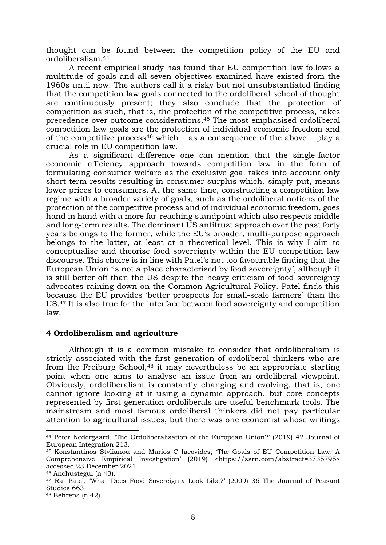thought can be found between the competition policy of the EU and ordoliberalism.<sup>44</sup>

A recent empirical study has found that EU competition law follows a multitude of goals and all seven objectives examined have existed from the 1960s until now. The authors call it a risky but not unsubstantiated finding that the competition law goals connected to the ordoliberal school of thought are continuously present; they also conclude that the protection of competition as such, that is, the protection of the competitive process, takes precedence over outcome considerations. <sup>45</sup> The most emphasised ordoliberal competition law goals are the protection of individual economic freedom and of the competitive process<sup>46</sup> which – as a consequence of the above – play a crucial role in EU competition law.

As a significant difference one can mention that the single-factor economic efficiency approach towards competition law in the form of formulating consumer welfare as the exclusive goal takes into account only short-term results resulting in consumer surplus which, simply put, means lower prices to consumers. At the same time, constructing a competition law regime with a broader variety of goals, such as the ordoliberal notions of the protection of the competitive process and of individual economic freedom, goes hand in hand with a more far-reaching standpoint which also respects middle and long-term results. The dominant US antitrust approach over the past forty years belongs to the former, while the EU's broader, multi-purpose approach belongs to the latter, at least at a theoretical level. This is why I aim to conceptualise and theorise food sovereignty within the EU competition law discourse. This choice is in line with Patel's not too favourable finding that the European Union 'is not a place characterised by food sovereignty', although it is still better off than the US despite the heavy criticism of food sovereignty advocates raining down on the Common Agricultural Policy. Patel finds this because the EU provides 'better prospects for small-scale farmers' than the US.<sup>47</sup> It is also true for the interface between food sovereignty and competition law.

#### **4 Ordoliberalism and agriculture**

Although it is a common mistake to consider that ordoliberalism is strictly associated with the first generation of ordoliberal thinkers who are from the Freiburg School,<sup>48</sup> it may nevertheless be an appropriate starting point when one aims to analyse an issue from an ordoliberal viewpoint. Obviously, ordoliberalism is constantly changing and evolving, that is, one cannot ignore looking at it using a dynamic approach, but core concepts represented by first-generation ordoliberals are useful benchmark tools. The mainstream and most famous ordoliberal thinkers did not pay particular attention to agricultural issues, but there was one economist whose writings

<sup>44</sup> Peter Nedergaard, 'The Ordoliberalisation of the European Union?' (2019) 42 Journal of European Integration 213.

<sup>45</sup> Konstantinos Stylianou and Marios C Iacovides, 'The Goals of EU Competition Law: A Comprehensive Empirical Investigation' (2019) <https://ssrn.com/abstract=3735795> accessed 23 December 2021.

<sup>46</sup> Anchustegui (n 43).

<sup>47</sup> Raj Patel, 'What Does Food Sovereignty Look Like?' (2009) 36 The Journal of Peasant Studies 663.

<sup>48</sup> Behrens (n 42).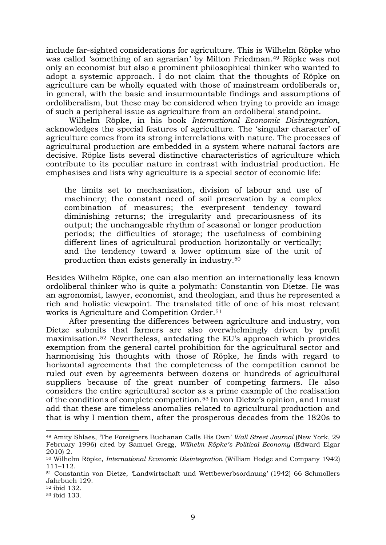include far-sighted considerations for agriculture. This is Wilhelm Röpke who was called 'something of an agrarian' by Milton Friedman.<sup>49</sup> Röpke was not only an economist but also a prominent philosophical thinker who wanted to adopt a systemic approach. I do not claim that the thoughts of Röpke on agriculture can be wholly equated with those of mainstream ordoliberals or, in general, with the basic and insurmountable findings and assumptions of ordoliberalism, but these may be considered when trying to provide an image of such a peripheral issue as agriculture from an ordoliberal standpoint.

Wilhelm Röpke, in his book *International Economic Disintegration*, acknowledges the special features of agriculture. The 'singular character' of agriculture comes from its strong interrelations with nature. The processes of agricultural production are embedded in a system where natural factors are decisive. Röpke lists several distinctive characteristics of agriculture which contribute to its peculiar nature in contrast with industrial production. He emphasises and lists why agriculture is a special sector of economic life:

the limits set to mechanization, division of labour and use of machinery; the constant need of soil preservation by a complex combination of measures; the everpresent tendency toward diminishing returns; the irregularity and precariousness of its output; the unchangeable rhythm of seasonal or longer production periods; the difficulties of storage; the usefulness of combining different lines of agricultural production horizontally or vertically; and the tendency toward a lower optimum size of the unit of production than exists generally in industry.<sup>50</sup>

Besides Wilhelm Röpke, one can also mention an internationally less known ordoliberal thinker who is quite a polymath: Constantin von Dietze. He was an agronomist, lawyer, economist, and theologian, and thus he represented a rich and holistic viewpoint. The translated title of one of his most relevant works is Agriculture and Competition Order.<sup>51</sup>

After presenting the differences between agriculture and industry, von Dietze submits that farmers are also overwhelmingly driven by profit maximisation. <sup>52</sup> Nevertheless, antedating the EU's approach which provides exemption from the general cartel prohibition for the agricultural sector and harmonising his thoughts with those of Röpke, he finds with regard to horizontal agreements that the completeness of the competition cannot be ruled out even by agreements between dozens or hundreds of agricultural suppliers because of the great number of competing farmers. He also considers the entire agricultural sector as a prime example of the realisation of the conditions of complete competition.<sup>53</sup> In von Dietze's opinion, and I must add that these are timeless anomalies related to agricultural production and that is why I mention them, after the prosperous decades from the 1820s to

<sup>49</sup> Amity Shlaes, 'The Foreigners Buchanan Calls His Own' *Wall Street Journal* (New York, 29 February 1996) cited by Samuel Gregg, *Wilhelm Röpke's Political Economy* (Edward Elgar 2010) 2.

<sup>50</sup> Wilhelm Röpke, *International Economic Disintegration* (William Hodge and Company 1942) 111–112.

<sup>51</sup> Constantin von Dietze, 'Landwirtschaft und Wettbewerbsordnung' (1942) 66 Schmollers Jahrbuch 129.

<sup>52</sup> ibid 132.

<sup>53</sup> ibid 133.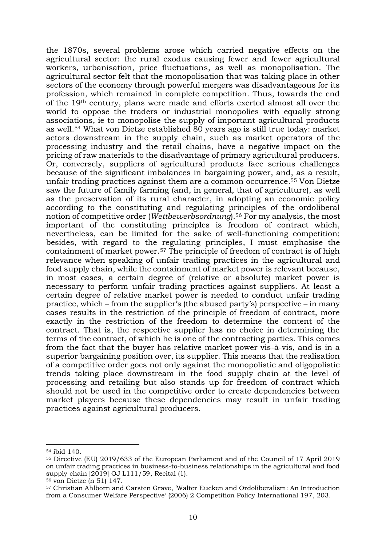the 1870s, several problems arose which carried negative effects on the agricultural sector: the rural exodus causing fewer and fewer agricultural workers, urbanisation, price fluctuations, as well as monopolisation. The agricultural sector felt that the monopolisation that was taking place in other sectors of the economy through powerful mergers was disadvantageous for its profession, which remained in complete competition. Thus, towards the end of the 19th century, plans were made and efforts exerted almost all over the world to oppose the traders or industrial monopolies with equally strong associations, ie to monopolise the supply of important agricultural products as well.<sup>54</sup> What von Dietze established 80 years ago is still true today: market actors downstream in the supply chain, such as market operators of the processing industry and the retail chains, have a negative impact on the pricing of raw materials to the disadvantage of primary agricultural producers. Or, conversely, suppliers of agricultural products face serious challenges because of the significant imbalances in bargaining power, and, as a result, unfair trading practices against them are a common occurrence. <sup>55</sup> Von Dietze saw the future of family farming (and, in general, that of agriculture), as well as the preservation of its rural character, in adopting an economic policy according to the constituting and regulating principles of the ordoliberal notion of competitive order (*Wettbewerbsordnung*). <sup>56</sup> For my analysis, the most important of the constituting principles is freedom of contract which, nevertheless, can be limited for the sake of well-functioning competition; besides, with regard to the regulating principles, I must emphasise the containment of market power.<sup>57</sup> The principle of freedom of contract is of high relevance when speaking of unfair trading practices in the agricultural and food supply chain, while the containment of market power is relevant because, in most cases, a certain degree of (relative or absolute) market power is necessary to perform unfair trading practices against suppliers. At least a certain degree of relative market power is needed to conduct unfair trading practice, which – from the supplier's (the abused party's) perspective – in many cases results in the restriction of the principle of freedom of contract, more exactly in the restriction of the freedom to determine the content of the contract. That is, the respective supplier has no choice in determining the terms of the contract, of which he is one of the contracting parties. This comes from the fact that the buyer has relative market power vis-à-vis, and is in a superior bargaining position over, its supplier. This means that the realisation of a competitive order goes not only against the monopolistic and oligopolistic trends taking place downstream in the food supply chain at the level of processing and retailing but also stands up for freedom of contract which should not be used in the competitive order to create dependencies between market players because these dependencies may result in unfair trading practices against agricultural producers.

<sup>56</sup> von Dietze (n 51) 147.

<sup>54</sup> ibid 140.

<sup>55</sup> Directive (EU) 2019/633 of the European Parliament and of the Council of 17 April 2019 on unfair trading practices in business-to-business relationships in the agricultural and food supply chain [2019] OJ L111/59, Recital (1).

<sup>57</sup> Christian Ahlborn and Carsten Grave, 'Walter Eucken and Ordoliberalism: An Introduction from a Consumer Welfare Perspective' (2006) 2 Competition Policy International 197, 203.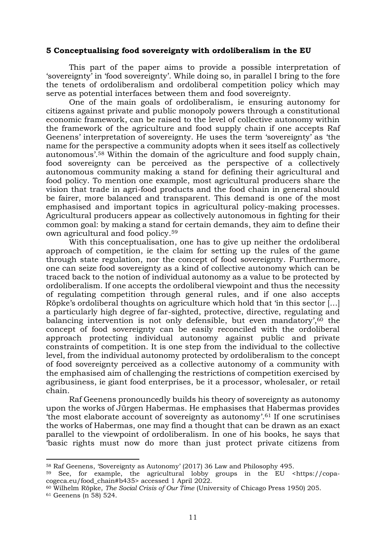#### **5 Conceptualising food sovereignty with ordoliberalism in the EU**

This part of the paper aims to provide a possible interpretation of 'sovereignty' in 'food sovereignty'. While doing so, in parallel I bring to the fore the tenets of ordoliberalism and ordoliberal competition policy which may serve as potential interfaces between them and food sovereignty.

One of the main goals of ordoliberalism, ie ensuring autonomy for citizens against private and public monopoly powers through a constitutional economic framework, can be raised to the level of collective autonomy within the framework of the agriculture and food supply chain if one accepts Raf Geenens' interpretation of sovereignty. He uses the term 'sovereignty' as 'the name for the perspective a community adopts when it sees itself as collectively autonomous'. <sup>58</sup> Within the domain of the agriculture and food supply chain, food sovereignty can be perceived as the perspective of a collectively autonomous community making a stand for defining their agricultural and food policy. To mention one example, most agricultural producers share the vision that trade in agri-food products and the food chain in general should be fairer, more balanced and transparent. This demand is one of the most emphasised and important topics in agricultural policy-making processes. Agricultural producers appear as collectively autonomous in fighting for their common goal: by making a stand for certain demands, they aim to define their own agricultural and food policy. 59

With this conceptualisation, one has to give up neither the ordoliberal approach of competition, ie the claim for setting up the rules of the game through state regulation, nor the concept of food sovereignty. Furthermore, one can seize food sovereignty as a kind of collective autonomy which can be traced back to the notion of individual autonomy as a value to be protected by ordoliberalism. If one accepts the ordoliberal viewpoint and thus the necessity of regulating competition through general rules, and if one also accepts Röpke's ordoliberal thoughts on agriculture which hold that 'in this sector […] a particularly high degree of far-sighted, protective, directive, regulating and balancing intervention is not only defensible, but even mandatory', <sup>60</sup> the concept of food sovereignty can be easily reconciled with the ordoliberal approach protecting individual autonomy against public and private constraints of competition. It is one step from the individual to the collective level, from the individual autonomy protected by ordoliberalism to the concept of food sovereignty perceived as a collective autonomy of a community with the emphasised aim of challenging the restrictions of competition exercised by agribusiness, ie giant food enterprises, be it a processor, wholesaler, or retail chain.

Raf Geenens pronouncedly builds his theory of sovereignty as autonomy upon the works of Jürgen Habermas. He emphasises that Habermas provides 'the most elaborate account of sovereignty as autonomy'. <sup>61</sup> If one scrutinises the works of Habermas, one may find a thought that can be drawn as an exact parallel to the viewpoint of ordoliberalism. In one of his books, he says that 'basic rights must now do more than just protect private citizens from

<sup>58</sup> Raf Geenens, 'Sovereignty as Autonomy' (2017) 36 Law and Philosophy 495.

 $59$  See, for example, the agricultural lobby groups in the EU <https://copacogeca.eu/food\_chain#b435> accessed 1 April 2022.

<sup>60</sup> Wilhelm Röpke, *The Social Crisis of Our Time* (University of Chicago Press 1950) 205.

<sup>61</sup> Geenens (n 58) 524.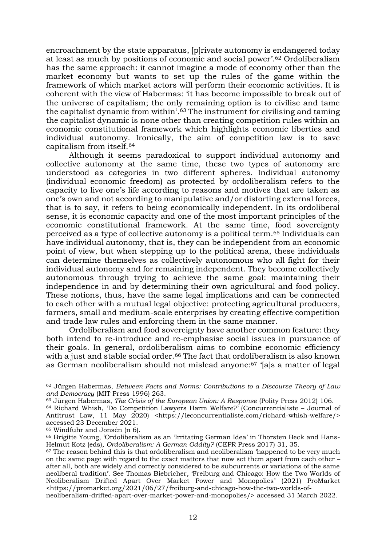encroachment by the state apparatus, [p]rivate autonomy is endangered today at least as much by positions of economic and social power'. <sup>62</sup> Ordoliberalism has the same approach: it cannot imagine a mode of economy other than the market economy but wants to set up the rules of the game within the framework of which market actors will perform their economic activities. It is coherent with the view of Habermas: 'it has become impossible to break out of the universe of capitalism; the only remaining option is to civilise and tame the capitalist dynamic from within'. <sup>63</sup> The instrument for civilising and taming the capitalist dynamic is none other than creating competition rules within an economic constitutional framework which highlights economic liberties and individual autonomy. Ironically, the aim of competition law is to save capitalism from itself.<sup>64</sup>

Although it seems paradoxical to support individual autonomy and collective autonomy at the same time, these two types of autonomy are understood as categories in two different spheres. Individual autonomy (individual economic freedom) as protected by ordoliberalism refers to the capacity to live one's life according to reasons and motives that are taken as one's own and not according to manipulative and/or distorting external forces, that is to say, it refers to being economically independent. In its ordoliberal sense, it is economic capacity and one of the most important principles of the economic constitutional framework. At the same time, food sovereignty perceived as a type of collective autonomy is a political term. <sup>65</sup> Individuals can have individual autonomy, that is, they can be independent from an economic point of view, but when stepping up to the political arena, these individuals can determine themselves as collectively autonomous who all fight for their individual autonomy and for remaining independent. They become collectively autonomous through trying to achieve the same goal: maintaining their independence in and by determining their own agricultural and food policy. These notions, thus, have the same legal implications and can be connected to each other with a mutual legal objective: protecting agricultural producers, farmers, small and medium-scale enterprises by creating effective competition and trade law rules and enforcing them in the same manner.

Ordoliberalism and food sovereignty have another common feature: they both intend to re-introduce and re-emphasise social issues in pursuance of their goals. In general, ordoliberalism aims to combine economic efficiency with a just and stable social order.<sup>66</sup> The fact that ordoliberalism is also known as German neoliberalism should not mislead anyone:<sup>67</sup> '[a]s a matter of legal

<sup>62</sup> Jürgen Habermas, *Between Facts and Norms: Contributions to a Discourse Theory of Law and Democracy* (MIT Press 1996) 263.

<sup>63</sup> Jürgen Habermas, *The Crisis of the European Union: A Response* (Polity Press 2012) 106.

 $64$  Richard Whish, 'Do Competition Lawyers Harm Welfare?' (Concurrentialiste – Journal of Antitrust Law, 11 May 2020) <https://leconcurrentialiste.com/richard-whish-welfare/> accessed 23 December 2021.

<sup>65</sup> Windfuhr and Jonsén (n 6).

<sup>66</sup> Brigitte Young, 'Ordoliberalism as an 'Irritating German Idea' in Thorsten Beck and Hans-Helmut Kotz (eds), *Ordoliberalism: A German Oddity?* (CEPR Press 2017) 31, 35.

 $67$  The reason behind this is that ordoliberalism and neoliberalism 'happened to be very much on the same page with regard to the exact matters that now set them apart from each other – after all, both are widely and correctly considered to be subcurrents or variations of the same neoliberal tradition'. See Thomas Biebricher, 'Freiburg and Chicago: How the Two Worlds of Neoliberalism Drifted Apart Over Market Power and Monopolies' (2021) ProMarket <https://promarket.org/2021/06/27/freiburg-and-chicago-how-the-two-worlds-of-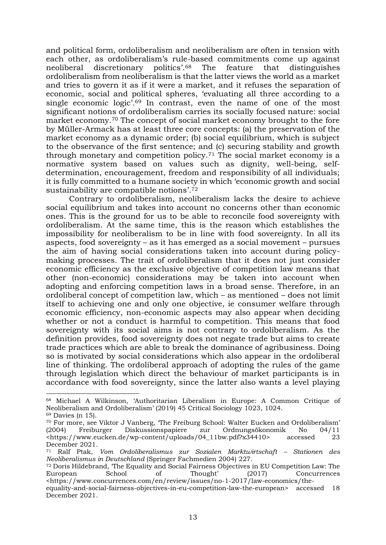and political form, ordoliberalism and neoliberalism are often in tension with each other, as ordoliberalism's rule-based commitments come up against neoliberal discretionary politics'. feature that distinguishes ordoliberalism from neoliberalism is that the latter views the world as a market and tries to govern it as if it were a market, and it refuses the separation of economic, social and political spheres, 'evaluating all three according to a single economic logic'. <sup>69</sup> In contrast, even the name of one of the most significant notions of ordoliberalism carries its socially focused nature: social market economy.<sup>70</sup> The concept of social market economy brought to the fore by Müller-Armack has at least three core concepts: (a) the preservation of the market economy as a dynamic order; (b) social equilibrium, which is subject to the observance of the first sentence; and (c) securing stability and growth through monetary and competition policy.<sup>71</sup> The social market economy is a normative system based on values such as dignity, well-being, selfdetermination, encouragement, freedom and responsibility of all individuals; it is fully committed to a humane society in which 'economic growth and social sustainability are compatible notions'.<sup>72</sup>

Contrary to ordoliberalism, neoliberalism lacks the desire to achieve social equilibrium and takes into account no concerns other than economic ones. This is the ground for us to be able to reconcile food sovereignty with ordoliberalism. At the same time, this is the reason which establishes the impossibility for neoliberalism to be in line with food sovereignty. In all its aspects, food sovereignty – as it has emerged as a social movement – pursues the aim of having social considerations taken into account during policymaking processes. The trait of ordoliberalism that it does not just consider economic efficiency as the exclusive objective of competition law means that other (non-economic) considerations may be taken into account when adopting and enforcing competition laws in a broad sense. Therefore, in an ordoliberal concept of competition law, which – as mentioned – does not limit itself to achieving one and only one objective, ie consumer welfare through economic efficiency, non-economic aspects may also appear when deciding whether or not a conduct is harmful to competition. This means that food sovereignty with its social aims is not contrary to ordoliberalism. As the definition provides, food sovereignty does not negate trade but aims to create trade practices which are able to break the dominance of agribusiness. Doing so is motivated by social considerations which also appear in the ordoliberal line of thinking. The ordoliberal approach of adopting the rules of the game through legislation which direct the behaviour of market participants is in accordance with food sovereignty, since the latter also wants a level playing

<sup>68</sup> Michael A Wilkinson, 'Authoritarian Liberalism in Europe: A Common Critique of Neoliberalism and Ordoliberalism' (2019) 45 Critical Sociology 1023, 1024.

 $69$  Davies (n 15).

<sup>70</sup> For more, see Viktor J Vanberg, 'The Freiburg School: Walter Eucken and Ordoliberalism' (2004) Freiburger Diskussionspapiere zur Ordnungsökonomik No 04/11 <https://www.eucken.de/wp-content/uploads/04\_11bw.pdf?x34410> accessed 23 December 2021.

<sup>71</sup> Ralf Ptak, *Vom Ordoliberalismus zur Sozialen Marktwirtschaft – Stationen des Neoliberalismus in Deutschland* (Springer Fachmedien 2004) 227.

<sup>72</sup> Doris Hildebrand, 'The Equality and Social Fairness Objectives in EU Competition Law: The European School of Thought' (2017) Concurrences <https://www.concurrences.com/en/review/issues/no-1-2017/law-economics/the-

equality-and-social-fairness-objectives-in-eu-competition-law-the-european> accessed 18 December 2021.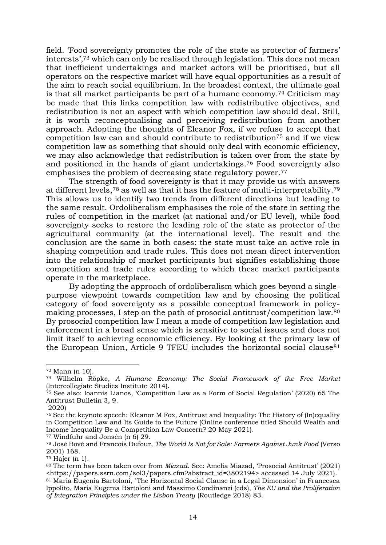field. 'Food sovereignty promotes the role of the state as protector of farmers' interests', <sup>73</sup> which can only be realised through legislation. This does not mean that inefficient undertakings and market actors will be prioritised, but all operators on the respective market will have equal opportunities as a result of the aim to reach social equilibrium. In the broadest context, the ultimate goal is that all market participants be part of a humane economy.<sup>74</sup> Criticism may be made that this links competition law with redistributive objectives, and redistribution is not an aspect with which competition law should deal. Still, it is worth reconceptualising and perceiving redistribution from another approach. Adopting the thoughts of Eleanor Fox, if we refuse to accept that competition law can and should contribute to redistribution<sup>75</sup> and if we view competition law as something that should only deal with economic efficiency, we may also acknowledge that redistribution is taken over from the state by and positioned in the hands of giant undertakings. <sup>76</sup> Food sovereignty also emphasises the problem of decreasing state regulatory power.<sup>77</sup>

The strength of food sovereignty is that it may provide us with answers at different levels,<sup>78</sup> as well as that it has the feature of multi-interpretability.<sup>79</sup> This allows us to identify two trends from different directions but leading to the same result. Ordoliberalism emphasises the role of the state in setting the rules of competition in the market (at national and/or EU level), while food sovereignty seeks to restore the leading role of the state as protector of the agricultural community (at the international level). The result and the conclusion are the same in both cases: the state must take an active role in shaping competition and trade rules. This does not mean direct intervention into the relationship of market participants but signifies establishing those competition and trade rules according to which these market participants operate in the marketplace.

By adopting the approach of ordoliberalism which goes beyond a singlepurpose viewpoint towards competition law and by choosing the political category of food sovereignty as a possible conceptual framework in policymaking processes, I step on the path of prosocial antitrust/competition law.<sup>80</sup> By prosocial competition law I mean a mode of competition law legislation and enforcement in a broad sense which is sensitive to social issues and does not limit itself to achieving economic efficiency. By looking at the primary law of the European Union, Article 9 TFEU includes the horizontal social clause<sup>81</sup>

<sup>73</sup> Mann (n 10).

<sup>74</sup> Wilhelm Röpke, *A Humane Economy: The Social Framework of the Free Market* (Intercollegiate Studies Institute 2014).

<sup>75</sup> See also: Ioannis Lianos, 'Competition Law as a Form of Social Regulation' (2020) 65 The Antitrust Bulletin 3, 9.

<sup>2020)</sup>

<sup>76</sup> See the keynote speech: Eleanor M Fox, Antitrust and Inequality: The History of (In)equality in Competition Law and Its Guide to the Future (Online conference titled Should Wealth and Income Inequality Be a Competition Law Concern? 20 May 2021).

<sup>77</sup> Windfuhr and Jonsén (n 6) 29.

<sup>78</sup> José Bové and Francois Dufour, *The World Is Not for Sale: Farmers Against Junk Food* (Verso 2001) 168.

<sup>79</sup> Hajer (n 1).

<sup>80</sup> The term has been taken over from *Miazad*. See: Amelia Miazad, 'Prosocial Antitrust' (2021) <https://papers.ssrn.com/sol3/papers.cfm?abstract\_id=3802194> accessed 14 July 2021).

<sup>81</sup> Maria Eugenia Bartoloni, 'The Horizontal Social Clause in a Legal Dimension' in Francesca Ippolito, Maria Eugenia Bartoloni and Massimo Condinanzi (eds), *The EU and the Proliferation of Integration Principles under the Lisbon Treaty* (Routledge 2018) 83.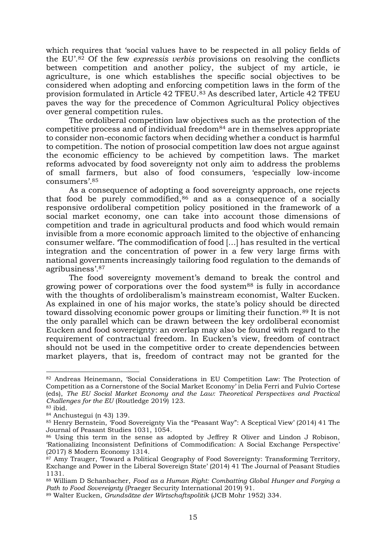which requires that 'social values have to be respected in all policy fields of the EU'. <sup>82</sup> Of the few *expressis verbis* provisions on resolving the conflicts between competition and another policy, the subject of my article, ie agriculture, is one which establishes the specific social objectives to be considered when adopting and enforcing competition laws in the form of the provision formulated in Article 42 TFEU.<sup>83</sup> As described later, Article 42 TFEU paves the way for the precedence of Common Agricultural Policy objectives over general competition rules.

The ordoliberal competition law objectives such as the protection of the competitive process and of individual freedom $84$  are in themselves appropriate to consider non-economic factors when deciding whether a conduct is harmful to competition. The notion of prosocial competition law does not argue against the economic efficiency to be achieved by competition laws. The market reforms advocated by food sovereignty not only aim to address the problems of small farmers, but also of food consumers, 'especially low-income consumers'. 85

As a consequence of adopting a food sovereignty approach, one rejects that food be purely commodified, $86$  and as a consequence of a socially responsive ordoliberal competition policy positioned in the framework of a social market economy, one can take into account those dimensions of competition and trade in agricultural products and food which would remain invisible from a more economic approach limited to the objective of enhancing consumer welfare. 'The commodification of food […] has resulted in the vertical integration and the concentration of power in a few very large firms with national governments increasingly tailoring food regulation to the demands of agribusiness'. 87

The food sovereignty movement's demand to break the control and growing power of corporations over the food system<sup>88</sup> is fully in accordance with the thoughts of ordoliberalism's mainstream economist, Walter Eucken. As explained in one of his major works, the state's policy should be directed toward dissolving economic power groups or limiting their function.<sup>89</sup> It is not the only parallel which can be drawn between the key ordoliberal economist Eucken and food sovereignty: an overlap may also be found with regard to the requirement of contractual freedom. In Eucken's view, freedom of contract should not be used in the competitive order to create dependencies between market players, that is, freedom of contract may not be granted for the

<sup>82</sup> Andreas Heinemann, 'Social Considerations in EU Competition Law: The Protection of Competition as a Cornerstone of the Social Market Economy' in Delia Ferri and Fulvio Cortese (eds), *The EU Social Market Economy and the Law: Theoretical Perspectives and Practical Challenges for the EU* (Routledge 2019) 123.

<sup>83</sup> ibid.

<sup>84</sup> Anchustegui (n 43) 139.

<sup>85</sup> Henry Bernstein, 'Food Sovereignty Via the "Peasant Way": A Sceptical View' (2014) 41 The Journal of Peasant Studies 1031, 1054.

<sup>86</sup> Using this term in the sense as adopted by Jeffrey R Oliver and Lindon J Robison, 'Rationalizing Inconsistent Definitions of Commodification: A Social Exchange Perspective' (2017) 8 Modern Economy 1314.

<sup>87</sup> Amy Trauger, 'Toward a Political Geography of Food Sovereignty: Transforming Territory, Exchange and Power in the Liberal Sovereign State' (2014) 41 The Journal of Peasant Studies 1131.

<sup>88</sup> William D Schanbacher, *Food as a Human Right: Combatting Global Hunger and Forging a Path to Food Sovereignty* (Praeger Security International 2019) 91.

<sup>89</sup> Walter Eucken, *Grundsätze der Wirtschaftspolitik* (JCB Mohr 1952) 334.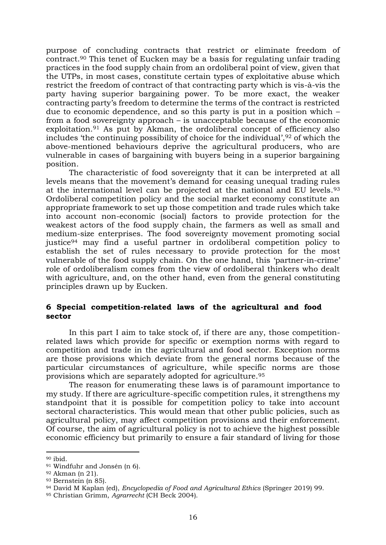purpose of concluding contracts that restrict or eliminate freedom of contract.<sup>90</sup> This tenet of Eucken may be a basis for regulating unfair trading practices in the food supply chain from an ordoliberal point of view, given that the UTPs, in most cases, constitute certain types of exploitative abuse which restrict the freedom of contract of that contracting party which is vis-à-vis the party having superior bargaining power. To be more exact, the weaker contracting party's freedom to determine the terms of the contract is restricted due to economic dependence, and so this party is put in a position which – from a food sovereignty approach – is unacceptable because of the economic exploitation.<sup>91</sup> As put by Akman, the ordoliberal concept of efficiency also includes 'the continuing possibility of choice for the individual', <sup>92</sup> of which the above-mentioned behaviours deprive the agricultural producers, who are vulnerable in cases of bargaining with buyers being in a superior bargaining position.

The characteristic of food sovereignty that it can be interpreted at all levels means that the movement's demand for ceasing unequal trading rules at the international level can be projected at the national and EU levels.<sup>93</sup> Ordoliberal competition policy and the social market economy constitute an appropriate framework to set up those competition and trade rules which take into account non-economic (social) factors to provide protection for the weakest actors of the food supply chain, the farmers as well as small and medium-size enterprises. The food sovereignty movement promoting social justice<sup>94</sup> may find a useful partner in ordoliberal competition policy to establish the set of rules necessary to provide protection for the most vulnerable of the food supply chain. On the one hand, this 'partner-in-crime' role of ordoliberalism comes from the view of ordoliberal thinkers who dealt with agriculture, and, on the other hand, even from the general constituting principles drawn up by Eucken.

#### **6 Special competition-related laws of the agricultural and food sector**

In this part I aim to take stock of, if there are any, those competitionrelated laws which provide for specific or exemption norms with regard to competition and trade in the agricultural and food sector. Exception norms are those provisions which deviate from the general norms because of the particular circumstances of agriculture, while specific norms are those provisions which are separately adopted for agriculture.<sup>95</sup>

The reason for enumerating these laws is of paramount importance to my study. If there are agriculture-specific competition rules, it strengthens my standpoint that it is possible for competition policy to take into account sectoral characteristics. This would mean that other public policies, such as agricultural policy, may affect competition provisions and their enforcement. Of course, the aim of agricultural policy is not to achieve the highest possible economic efficiency but primarily to ensure a fair standard of living for those

<sup>90</sup> ibid.

<sup>91</sup> Windfuhr and Jonsén (n 6).

<sup>92</sup> Akman (n 21).

<sup>93</sup> Bernstein (n 85).

<sup>94</sup> David M Kaplan (ed), *Encyclopedia of Food and Agricultural Ethics* (Springer 2019) 99.

<sup>95</sup> Christian Grimm, *Agrarrecht* (CH Beck 2004).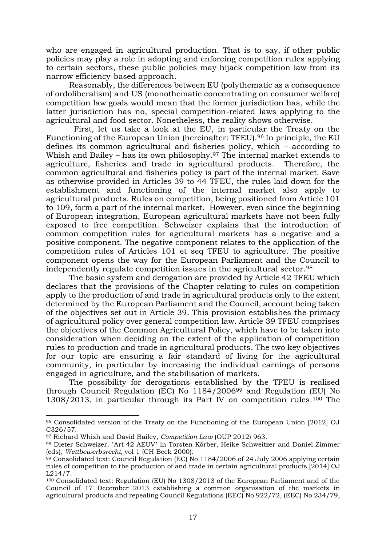who are engaged in agricultural production. That is to say, if other public policies may play a role in adopting and enforcing competition rules applying to certain sectors, these public policies may hijack competition law from its narrow efficiency-based approach.

Reasonably, the differences between EU (polythematic as a consequence of ordoliberalism) and US (monothematic concentrating on consumer welfare) competition law goals would mean that the former jurisdiction has, while the latter jurisdiction has no, special competition-related laws applying to the agricultural and food sector. Nonetheless, the reality shows otherwise.

 First, let us take a look at the EU, in particular the Treaty on the Functioning of the European Union (hereinafter: TFEU). <sup>96</sup> In principle, the EU defines its common agricultural and fisheries policy, which – according to Whish and Bailey – has its own philosophy.<sup>97</sup> The internal market extends to agriculture, fisheries and trade in agricultural products. Therefore, the common agricultural and fisheries policy is part of the internal market. Save as otherwise provided in Articles 39 to 44 TFEU, the rules laid down for the establishment and functioning of the internal market also apply to agricultural products. Rules on competition, being positioned from Article 101 to 109, form a part of the internal market. However, even since the beginning of European integration, European agricultural markets have not been fully exposed to free competition. Schweizer explains that the introduction of common competition rules for agricultural markets has a negative and a positive component. The negative component relates to the application of the competition rules of Articles 101 et seq TFEU to agriculture. The positive component opens the way for the European Parliament and the Council to independently regulate competition issues in the agricultural sector.<sup>98</sup>

The basic system and derogation are provided by Article 42 TFEU which declares that the provisions of the Chapter relating to rules on competition apply to the production of and trade in agricultural products only to the extent determined by the European Parliament and the Council, account being taken of the objectives set out in Article 39. This provision establishes the primacy of agricultural policy over general competition law. Article 39 TFEU comprises the objectives of the Common Agricultural Policy, which have to be taken into consideration when deciding on the extent of the application of competition rules to production and trade in agricultural products. The two key objectives for our topic are ensuring a fair standard of living for the agricultural community, in particular by increasing the individual earnings of persons engaged in agriculture, and the stabilisation of markets.

The possibility for derogations established by the TFEU is realised through Council Regulation (EC) No 1184/2006<sup>99</sup> and Regulation (EU) No 1308/2013, in particular through its Part IV on competition rules.<sup>100</sup> The

<sup>96</sup> Consolidated version of the Treaty on the Functioning of the European Union [2012] OJ C326/57.

<sup>97</sup> Richard Whish and David Bailey, *Competition Law* (OUP 2012) 963.

<sup>98</sup> Dieter Schweizer, 'Art 42 AEUV' in Torsten Körber, Heike Schweitzer and Daniel Zimmer (eds), *Wettbewerbsrecht,* vol 1 (CH Beck 2000).

 $99$  Consolidated text: Council Regulation (EC) No 1184/2006 of 24 July 2006 applying certain rules of competition to the production of and trade in certain agricultural products [2014] OJ L214/7.

<sup>100</sup> Consolidated text: Regulation (EU) No 1308/2013 of the European Parliament and of the Council of 17 December 2013 establishing a common organisation of the markets in agricultural products and repealing Council Regulations (EEC) No 922/72, (EEC) No 234/79,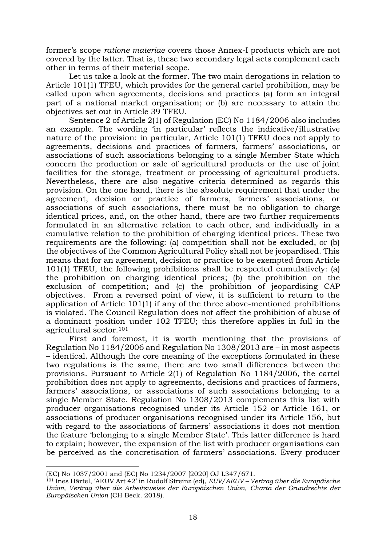former's scope *ratione materiae* covers those Annex-I products which are not covered by the latter. That is, these two secondary legal acts complement each other in terms of their material scope.

Let us take a look at the former. The two main derogations in relation to Article 101(1) TFEU, which provides for the general cartel prohibition, may be called upon when agreements, decisions and practices (a) form an integral part of a national market organisation; or (b) are necessary to attain the objectives set out in Article 39 TFEU.

Sentence 2 of Article 2(1) of Regulation (EC) No 1184/2006 also includes an example. The wording 'in particular' reflects the indicative/illustrative nature of the provision: in particular, Article 101(1) TFEU does not apply to agreements, decisions and practices of farmers, farmers' associations, or associations of such associations belonging to a single Member State which concern the production or sale of agricultural products or the use of joint facilities for the storage, treatment or processing of agricultural products. Nevertheless, there are also negative criteria determined as regards this provision. On the one hand, there is the absolute requirement that under the agreement, decision or practice of farmers, farmers' associations, or associations of such associations, there must be no obligation to charge identical prices, and, on the other hand, there are two further requirements formulated in an alternative relation to each other, and individually in a cumulative relation to the prohibition of charging identical prices. These two requirements are the following: (a) competition shall not be excluded, or (b) the objectives of the Common Agricultural Policy shall not be jeopardised. This means that for an agreement, decision or practice to be exempted from Article 101(1) TFEU, the following prohibitions shall be respected cumulatively: (a) the prohibition on charging identical prices; (b) the prohibition on the exclusion of competition; and (c) the prohibition of jeopardising CAP objectives. From a reversed point of view, it is sufficient to return to the application of Article 101(1) if any of the three above-mentioned prohibitions is violated. The Council Regulation does not affect the prohibition of abuse of a dominant position under 102 TFEU; this therefore applies in full in the agricultural sector.<sup>101</sup>

First and foremost, it is worth mentioning that the provisions of Regulation No 1184/2006 and Regulation No 1308/2013 are – in most aspects – identical. Although the core meaning of the exceptions formulated in these two regulations is the same, there are two small differences between the provisions. Pursuant to Article 2(1) of Regulation No 1184/2006, the cartel prohibition does not apply to agreements, decisions and practices of farmers, farmers' associations, or associations of such associations belonging to a single Member State. Regulation No 1308/2013 complements this list with producer organisations recognised under its Article 152 or Article 161, or associations of producer organisations recognised under its Article 156, but with regard to the associations of farmers' associations it does not mention the feature 'belonging to a single Member State'. This latter difference is hard to explain; however, the expansion of the list with producer organisations can be perceived as the concretisation of farmers' associations. Every producer

<sup>(</sup>EC) No 1037/2001 and (EC) No 1234/2007 [2020] OJ L347/671.

<sup>101</sup> Ines Härtel, 'AEUV Art 42' in Rudolf Streinz (ed), *EUV/AEUV – Vertrag über die Europäische Union, Vertrag über die Arbeitsweise der Europäischen Union, Charta der Grundrechte der Europäischen Union* (CH Beck. 2018).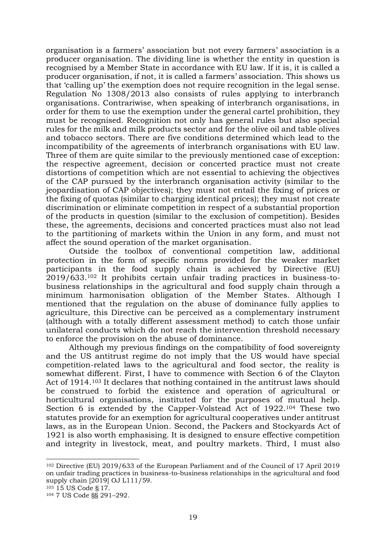organisation is a farmers' association but not every farmers' association is a producer organisation. The dividing line is whether the entity in question is recognised by a Member State in accordance with EU law. If it is, it is called a producer organisation, if not, it is called a farmers' association. This shows us that 'calling up' the exemption does not require recognition in the legal sense. Regulation No 1308/2013 also consists of rules applying to interbranch organisations. Contrariwise, when speaking of interbranch organisations, in order for them to use the exemption under the general cartel prohibition, they must be recognised. Recognition not only has general rules but also special rules for the milk and milk products sector and for the olive oil and table olives and tobacco sectors. There are five conditions determined which lead to the incompatibility of the agreements of interbranch organisations with EU law. Three of them are quite similar to the previously mentioned case of exception: the respective agreement, decision or concerted practice must not create distortions of competition which are not essential to achieving the objectives of the CAP pursued by the interbranch organisation activity (similar to the jeopardisation of CAP objectives); they must not entail the fixing of prices or the fixing of quotas (similar to charging identical prices); they must not create discrimination or eliminate competition in respect of a substantial proportion of the products in question (similar to the exclusion of competition). Besides these, the agreements, decisions and concerted practices must also not lead to the partitioning of markets within the Union in any form, and must not affect the sound operation of the market organisation.

Outside the toolbox of conventional competition law, additional protection in the form of specific norms provided for the weaker market participants in the food supply chain is achieved by Directive (EU) 2019/633.<sup>102</sup> It prohibits certain unfair trading practices in business-tobusiness relationships in the agricultural and food supply chain through a minimum harmonisation obligation of the Member States. Although I mentioned that the regulation on the abuse of dominance fully applies to agriculture, this Directive can be perceived as a complementary instrument (although with a totally different assessment method) to catch those unfair unilateral conducts which do not reach the intervention threshold necessary to enforce the provision on the abuse of dominance.

Although my previous findings on the compatibility of food sovereignty and the US antitrust regime do not imply that the US would have special competition-related laws to the agricultural and food sector, the reality is somewhat different. First, I have to commence with Section 6 of the Clayton Act of 1914. <sup>103</sup> It declares that nothing contained in the antitrust laws should be construed to forbid the existence and operation of agricultural or horticultural organisations, instituted for the purposes of mutual help. Section 6 is extended by the Capper-Volstead Act of 1922.<sup>104</sup> These two statutes provide for an exemption for agricultural cooperatives under antitrust laws, as in the European Union. Second, the Packers and Stockyards Act of 1921 is also worth emphasising. It is designed to ensure effective competition and integrity in livestock, meat, and poultry markets. Third, I must also

<sup>102</sup> Directive (EU) 2019/633 of the European Parliament and of the Council of 17 April 2019 on unfair trading practices in business-to-business relationships in the agricultural and food supply chain [2019] OJ L111/59.

<sup>103</sup> 15 US Code § 17.

<sup>104</sup> 7 US Code §§ 291–292.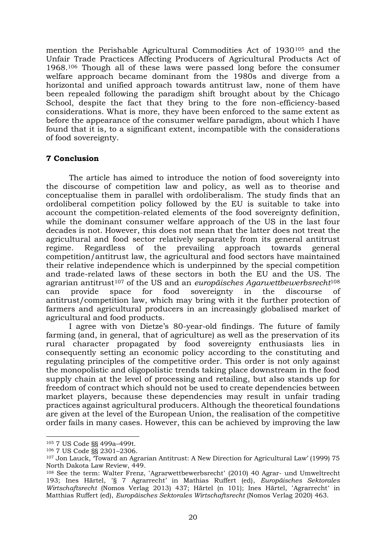mention the Perishable Agricultural Commodities Act of 1930<sup>105</sup> and the Unfair Trade Practices Affecting Producers of Agricultural Products Act of 1968.<sup>106</sup> Though all of these laws were passed long before the consumer welfare approach became dominant from the 1980s and diverge from a horizontal and unified approach towards antitrust law, none of them have been repealed following the paradigm shift brought about by the Chicago School, despite the fact that they bring to the fore non-efficiency-based considerations. What is more, they have been enforced to the same extent as before the appearance of the consumer welfare paradigm, about which I have found that it is, to a significant extent, incompatible with the considerations of food sovereignty.

#### **7 Conclusion**

The article has aimed to introduce the notion of food sovereignty into the discourse of competition law and policy, as well as to theorise and conceptualise them in parallel with ordoliberalism. The study finds that an ordoliberal competition policy followed by the EU is suitable to take into account the competition-related elements of the food sovereignty definition, while the dominant consumer welfare approach of the US in the last four decades is not. However, this does not mean that the latter does not treat the agricultural and food sector relatively separately from its general antitrust regime. Regardless of the prevailing approach towards general competition/antitrust law, the agricultural and food sectors have maintained their relative independence which is underpinned by the special competition and trade-related laws of these sectors in both the EU and the US. The agrarian antitrust<sup>107</sup> of the US and an *europäisches Agarwettbewerbsrecht*<sup>108</sup> can provide space for food sovereignty in the discourse of antitrust/competition law, which may bring with it the further protection of farmers and agricultural producers in an increasingly globalised market of agricultural and food products.

I agree with von Dietze's 80-year-old findings. The future of family farming (and, in general, that of agriculture) as well as the preservation of its rural character propagated by food sovereignty enthusiasts lies in consequently setting an economic policy according to the constituting and regulating principles of the competitive order. This order is not only against the monopolistic and oligopolistic trends taking place downstream in the food supply chain at the level of processing and retailing, but also stands up for freedom of contract which should not be used to create dependencies between market players, because these dependencies may result in unfair trading practices against agricultural producers. Although the theoretical foundations are given at the level of the European Union, the realisation of the competitive order fails in many cases. However, this can be achieved by improving the law

<sup>105</sup> 7 US Code §§ 499a–499t.

<sup>106</sup> 7 US Code §§ 2301–2306.

<sup>107</sup> Jon Lauck, 'Toward an Agrarian Antitrust: A New Direction for Agricultural Law' (1999) 75 North Dakota Law Review, 449.

<sup>&</sup>lt;sup>108</sup> See the term: Walter Frenz, 'Agrarwettbewerbsrecht' (2010) 40 Agrar- und Umweltrecht 193; Ines Härtel, ʽ§ 7 Agrarrecht' in Mathias Ruffert (ed), *Europäisches Sektorales Wirtschaftsrecht* (Nomos Verlag 2013) 437; Härtel (n 101); Ines Härtel, 'Agrarrecht' in Matthias Ruffert (ed), *Europäisches Sektorales Wirtschaftsrecht* (Nomos Verlag 2020) 463.